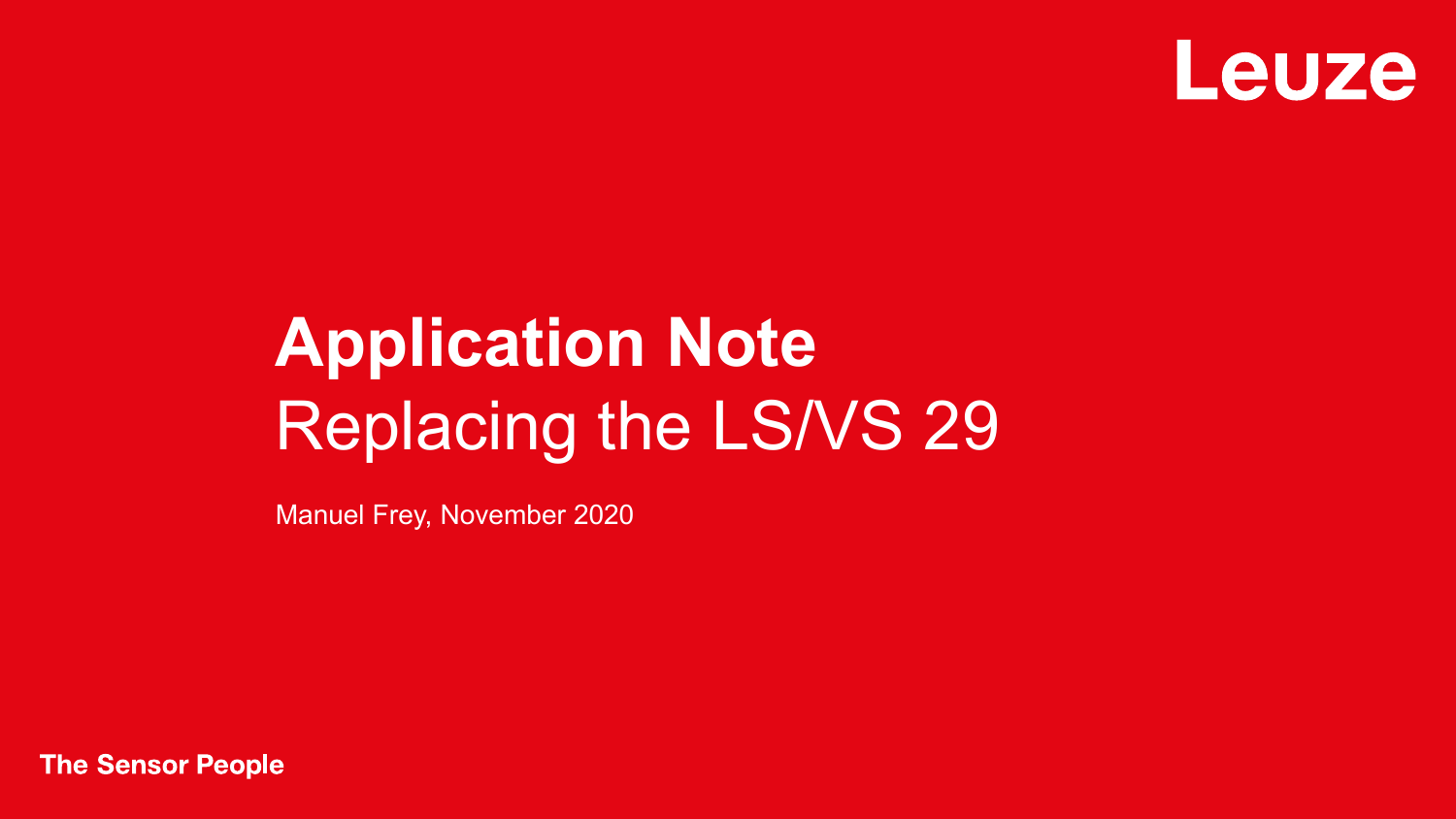

## **Application Note** Replacing the LS/VS 29

Manuel Frey, November 2020

**The Sensor People**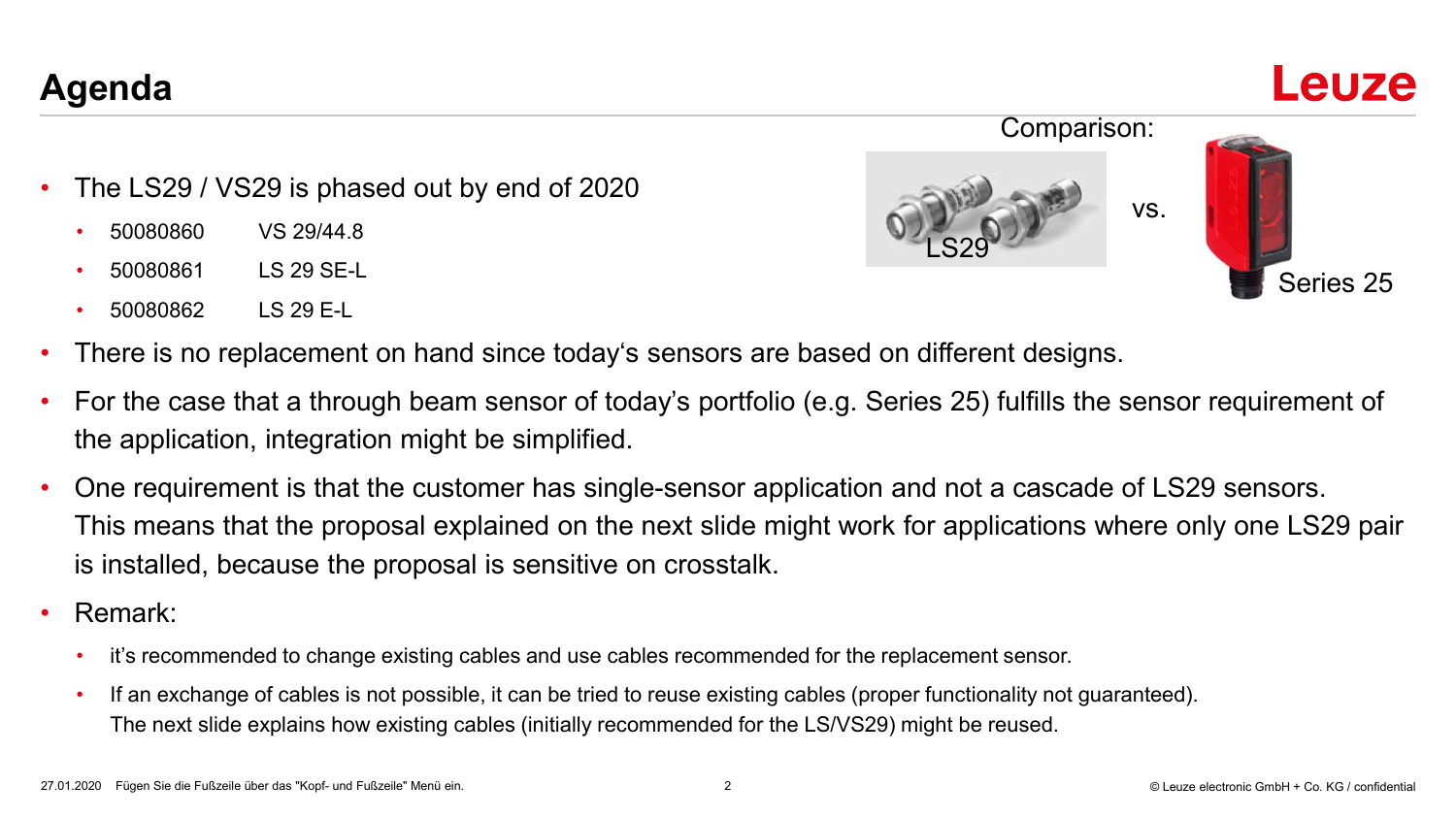27.01.2020 Fügen Sie die Fußzeile über das "Kopf- und Fußzeile" Menü ein. 2 © Leuze electronic GmbH + Co. KG / confidential

## **Agenda**

- The LS29 / VS29 is phased out by end of 2020
	- 50080860 VS 29/44.8
	- 50080861 LS 29 SE-L
	- 50080862 LS 29 E-L
- There is no replacement on hand since today's sensors are based on different designs.
- For the case that a through beam sensor of today's portfolio (e.g. Series 25) fulfills the sensor requirement of the application, integration might be simplified.
- One requirement is that the customer has single-sensor application and not a cascade of LS29 sensors. This means that the proposal explained on the next slide might work for applications where only one LS29 pair is installed, because the proposal is sensitive on crosstalk.
- Remark:
	- it's recommended to change existing cables and use cables recommended for the replacement sensor.
	- If an exchange of cables is not possible, it can be tried to reuse existing cables (proper functionality not guaranteed). The next slide explains how existing cables (initially recommended for the LS/VS29) might be reused.